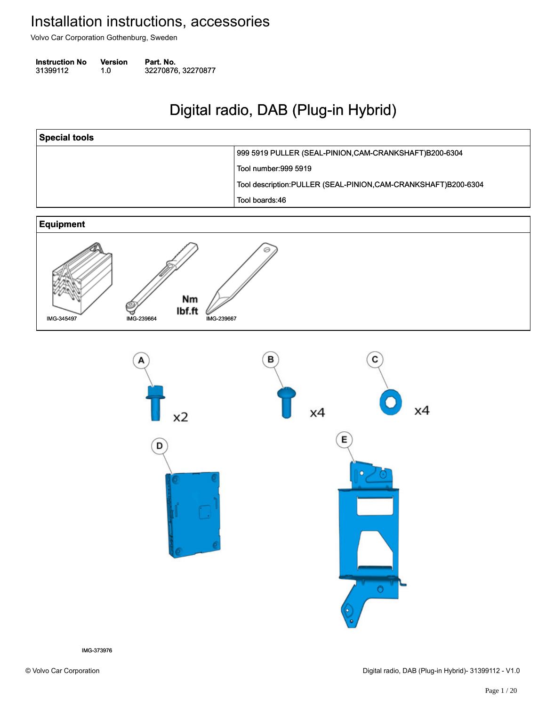Volvo Car Corporation Gothenburg, Sweden

| <b>Instruction No</b> | <b>Version</b> | Part. No.          |
|-----------------------|----------------|--------------------|
| 31399112              | 1.0            | 32270876, 32270877 |

# Digital radio, DAB (Plug-in Hybrid) Digital radio, DAB (Plug-in Hybrid)

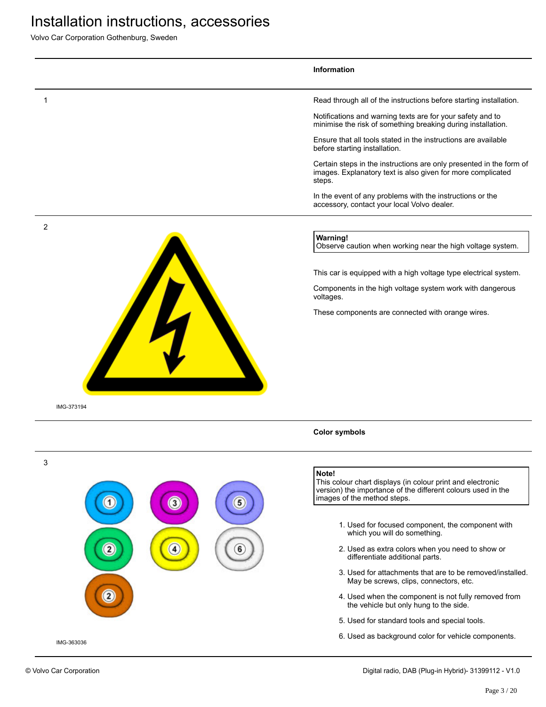|              | Information                                                                                                                                                             |
|--------------|-------------------------------------------------------------------------------------------------------------------------------------------------------------------------|
| 1            | Read through all of the instructions before starting installation.                                                                                                      |
|              | Notifications and warning texts are for your safety and to<br>minimise the risk of something breaking during installation.                                              |
|              | Ensure that all tools stated in the instructions are available<br>before starting installation.                                                                         |
|              | Certain steps in the instructions are only presented in the form of<br>images. Explanatory text is also given for more complicated<br>steps.                            |
|              | In the event of any problems with the instructions or the<br>accessory, contact your local Volvo dealer.                                                                |
| 2            | <b>Warning!</b><br>Observe caution when working near the high voltage system.                                                                                           |
|              | This car is equipped with a high voltage type electrical system.                                                                                                        |
|              | Components in the high voltage system work with dangerous<br>voltages.                                                                                                  |
|              | These components are connected with orange wires.                                                                                                                       |
|              |                                                                                                                                                                         |
| IMG-373194   | <b>Color symbols</b>                                                                                                                                                    |
|              |                                                                                                                                                                         |
| $\mathbf{3}$ | Note!<br>This colour chart displays (in colour print and electronic<br>version) the importance of the different colours used in the<br>images of the method steps.<br>5 |
|              | 1. Used for focused component, the component with<br>which you will do something.                                                                                       |
| 2<br>4       | 2. Used as extra colors when you need to show or<br>differentiate additional parts.                                                                                     |
|              | May be screws, clips, connectors, etc.                                                                                                                                  |
|              | 3. Used for attachments that are to be removed/installed.<br>4. Used when the component is not fully removed from                                                       |
| 3            | the vehicle but only hung to the side.<br>5. Used for standard tools and special tools.                                                                                 |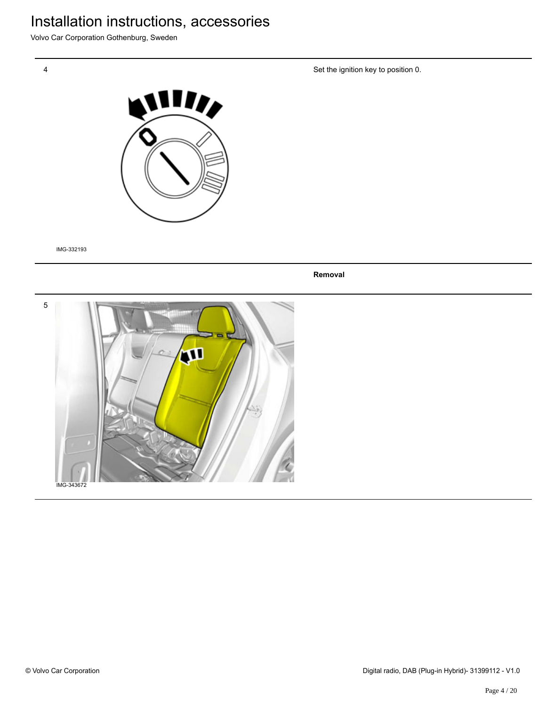Volvo Car Corporation Gothenburg, Sweden

Set the ignition key to position 0.



IMG-332193

**Removal**

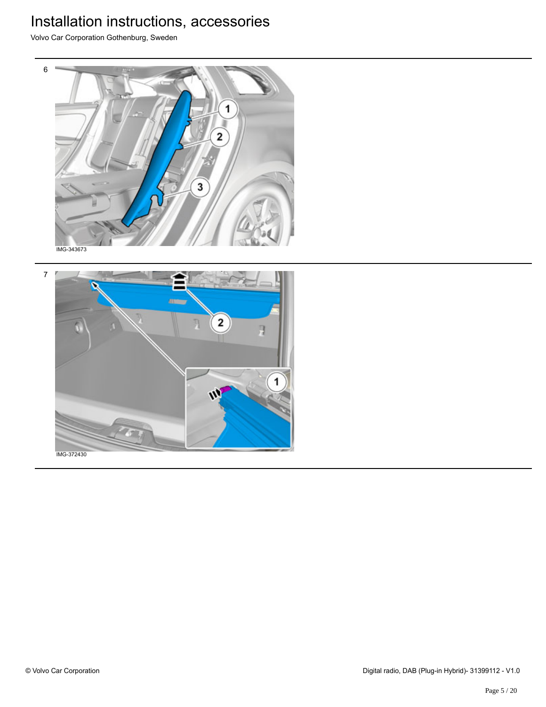Volvo Car Corporation Gothenburg, Sweden



7 2 ū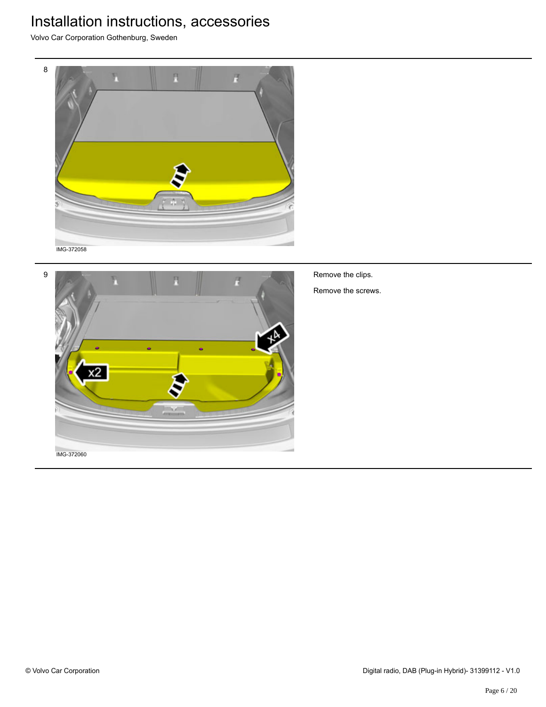Volvo Car Corporation Gothenburg, Sweden





Remove the clips.

Remove the screws.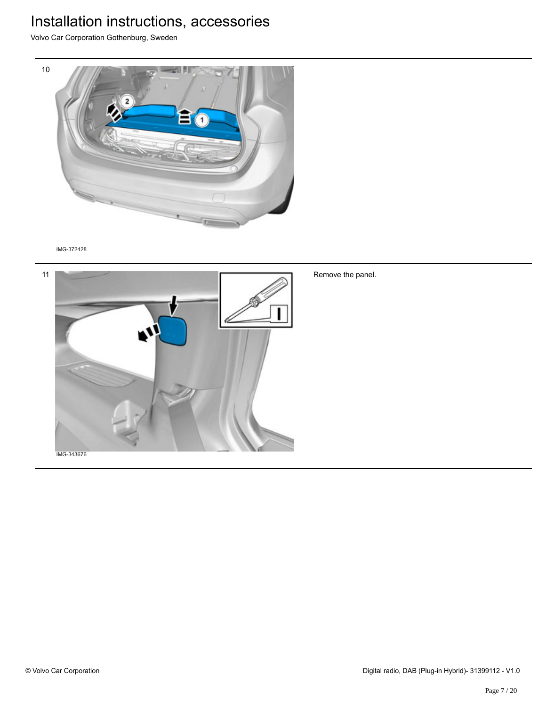Volvo Car Corporation Gothenburg, Sweden



IMG-372428



Remove the panel.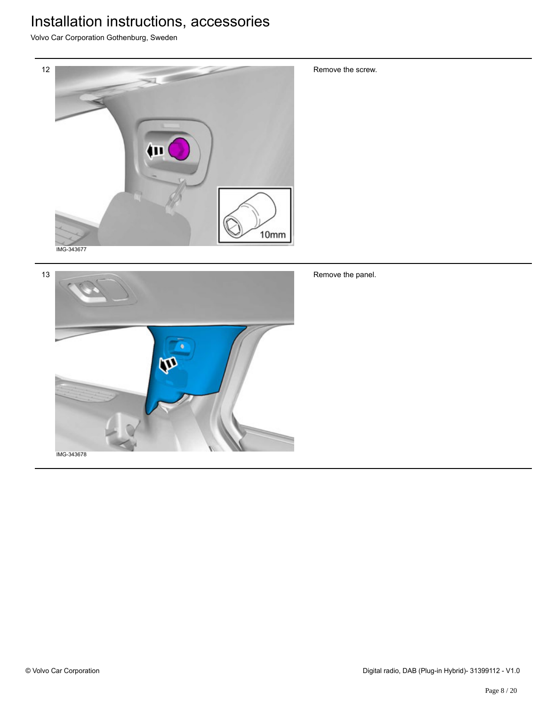Volvo Car Corporation Gothenburg, Sweden



13 n Remove the panel.

Remove the screw.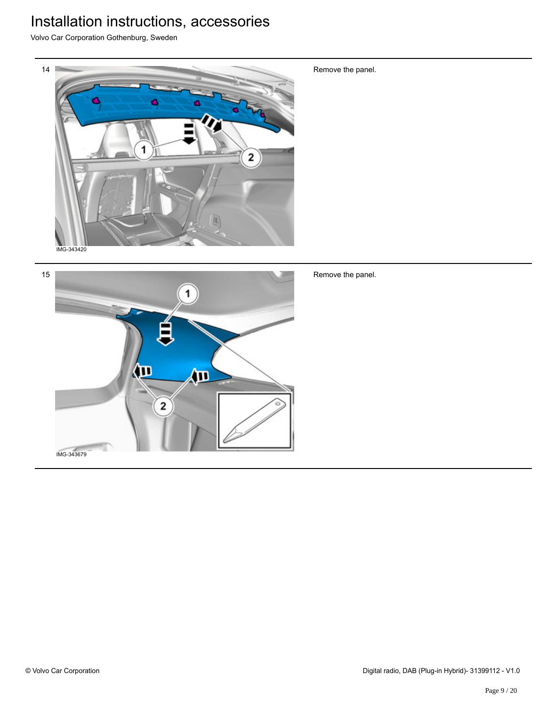Volvo Car Corporation Gothenburg, Sweden



Remove the panel.



Remove the panel.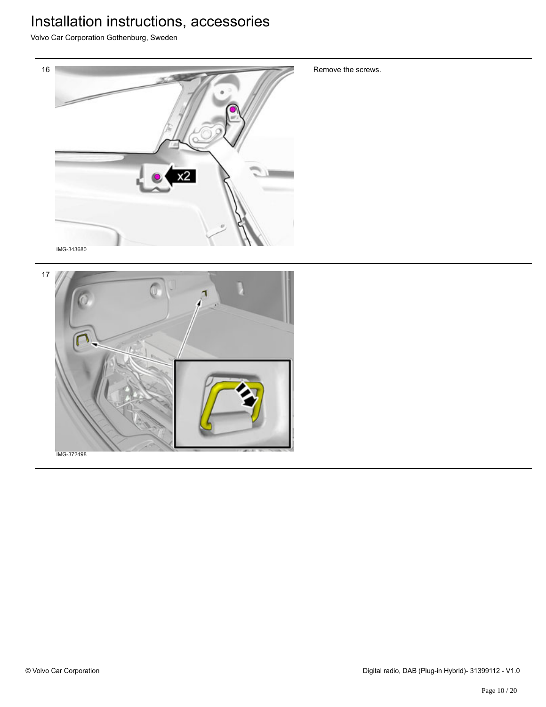Volvo Car Corporation Gothenburg, Sweden



Remove the screws.



© Volvo Car Corporation Digital radio, DAB (Plug-in Hybrid)- 31399112 - V1.0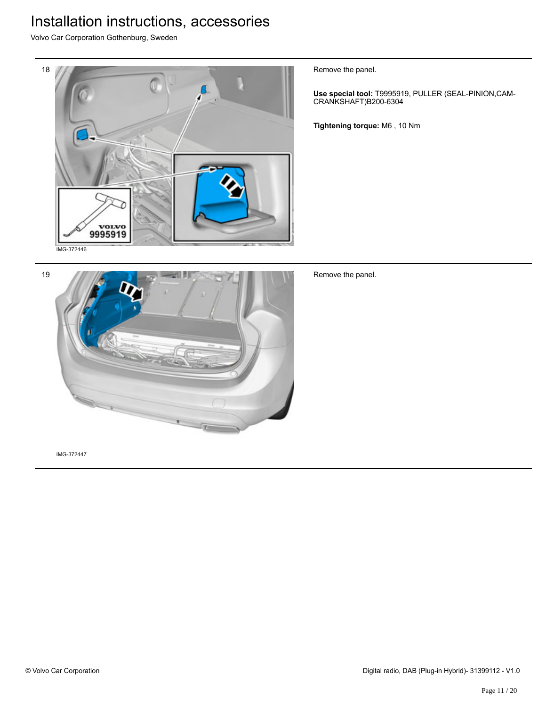Volvo Car Corporation Gothenburg, Sweden



Remove the panel.

**Use special tool:** T9995919, PULLER (SEAL-PINION,CAM-CRANKSHAFT)B200-6304

**Tightening torque:** M6 , 10 Nm



Remove the panel.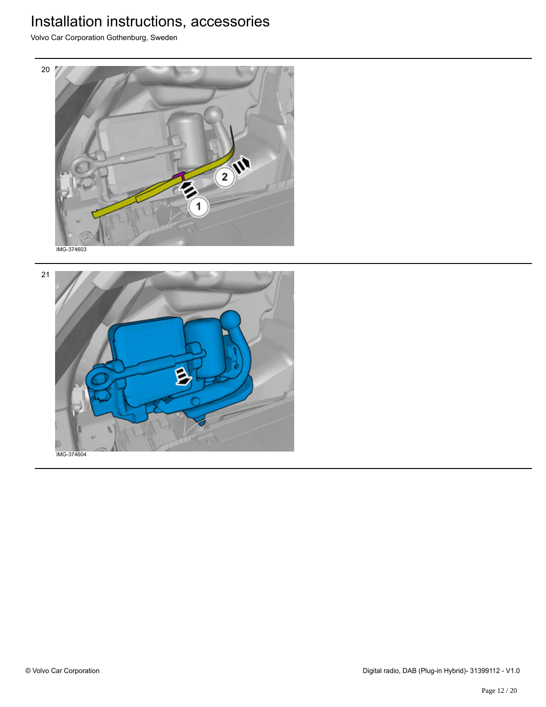

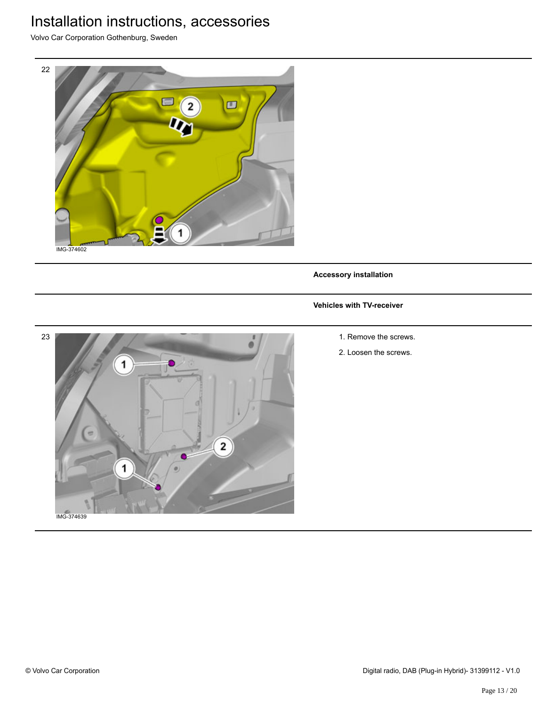Volvo Car Corporation Gothenburg, Sweden



**Accessory installation**

#### **Vehicles with TV-receiver**

- 23  $\mathbf{1}$ e  $\overline{2}$  $\bullet$ 1 IMG-374639
- 1. Remove the screws.
- 2. Loosen the screws.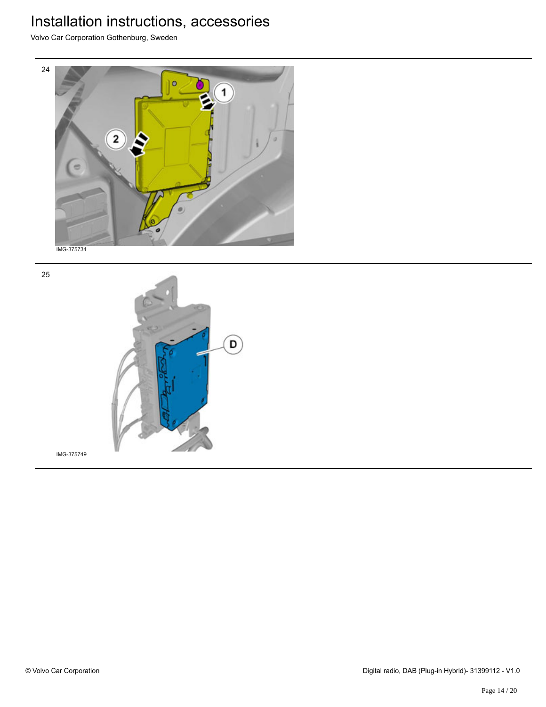Volvo Car Corporation Gothenburg, Sweden





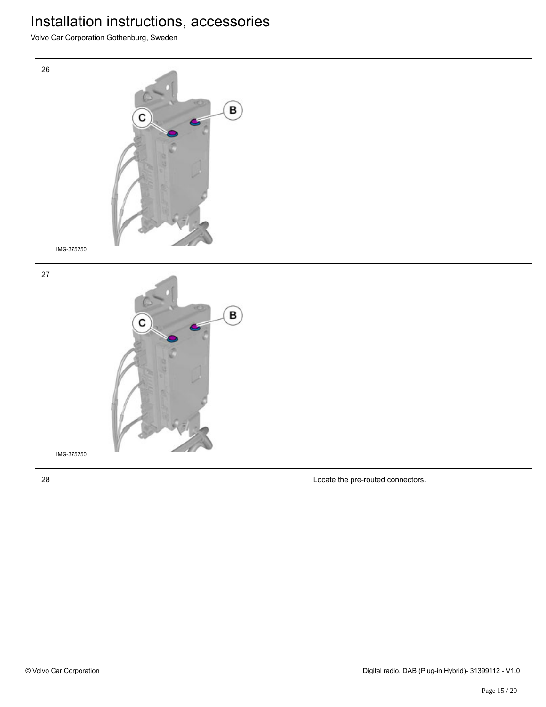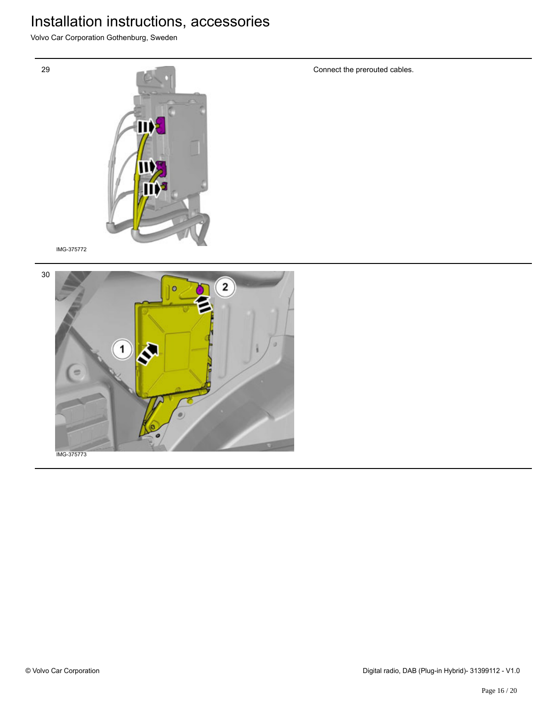Volvo Car Corporation Gothenburg, Sweden

![](_page_15_Picture_2.jpeg)

IMG-375772

29

![](_page_15_Picture_4.jpeg)

Connect the prerouted cables.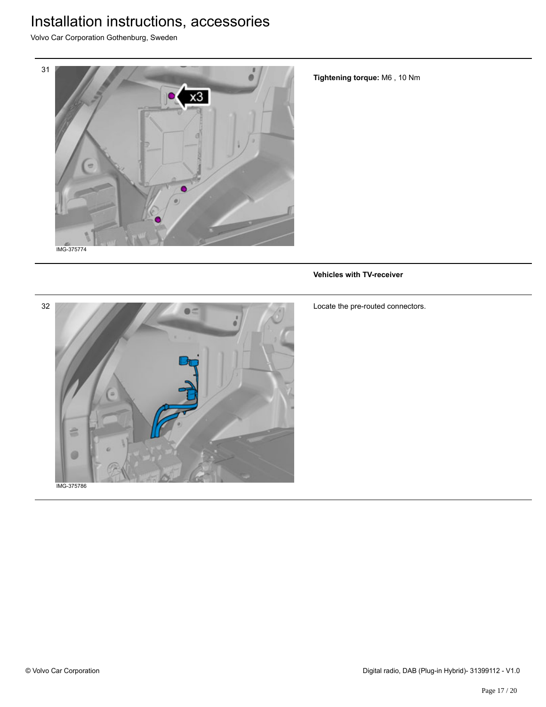Volvo Car Corporation Gothenburg, Sweden

![](_page_16_Picture_2.jpeg)

**Tightening torque:** M6 , 10 Nm

#### **Vehicles with TV-receiver**

![](_page_16_Picture_5.jpeg)

Locate the pre-routed connectors.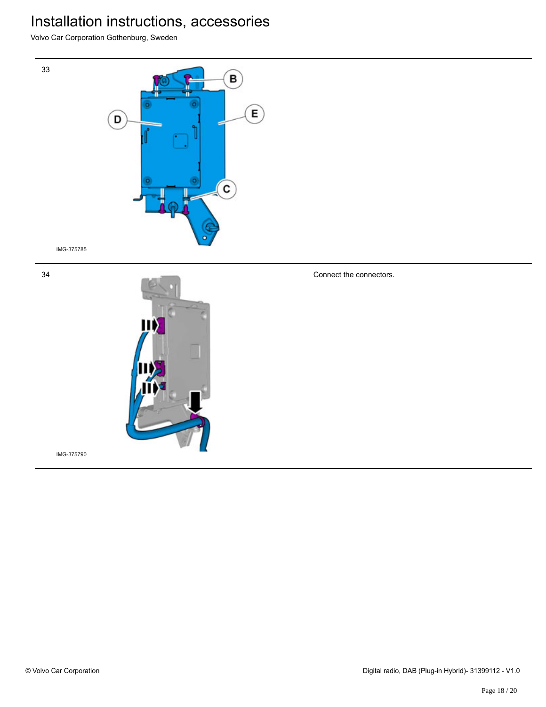Volvo Car Corporation Gothenburg, Sweden

![](_page_17_Picture_2.jpeg)

IMG-375785

34

33

![](_page_17_Picture_4.jpeg)

Connect the connectors.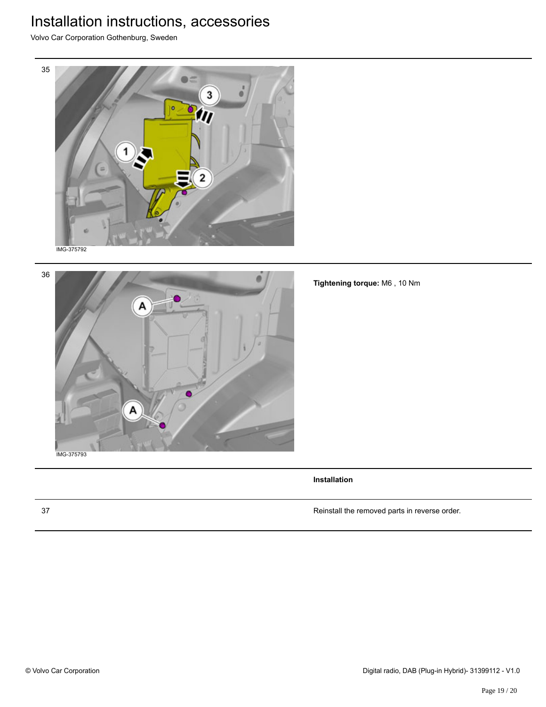Volvo Car Corporation Gothenburg, Sweden

![](_page_18_Picture_2.jpeg)

![](_page_18_Picture_3.jpeg)

**Tightening torque:** M6 , 10 Nm

**Installation**

37 Reinstall the removed parts in reverse order.